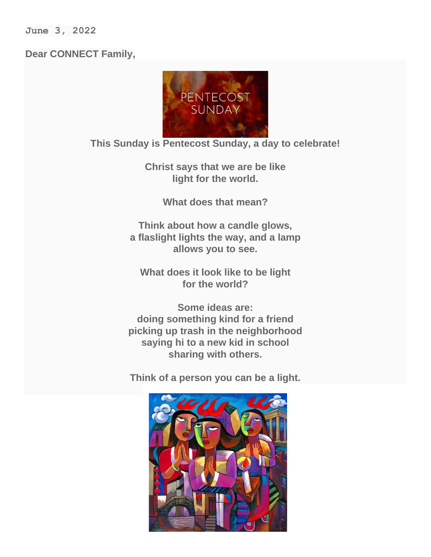**June 3, 2022**

## **Dear CONNECT Family,**



*This Sunday is Pentecost Sunday, a day to celebrate!*

*Christ says that we are be like light for the world.*

*What does that mean?*

*Think about how a candle glows, a flaslight lights the way, and a lamp allows you to see.*

*What does it look like to be light for the world?*

*Some ideas are: doing something kind for a friend picking up trash in the neighborhood saying hi to a new kid in school sharing with others.*

*Think of a person you can be a light.*

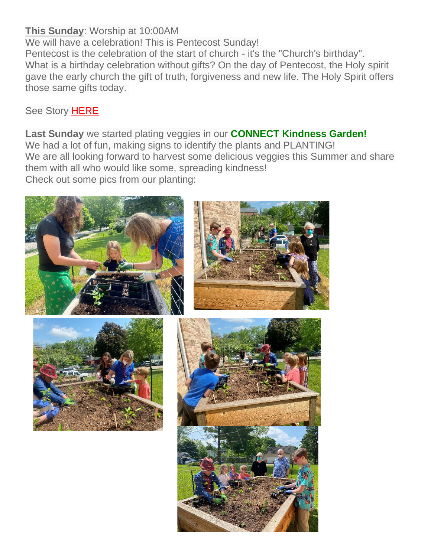## **This Sunday**: Worship at 10:00AM

We will have a celebration! This is Pentecost Sunday!

Pentecost is the celebration of the start of church - it's the "Church's birthday". What is a birthday celebration without gifts? On the day of Pentecost, the Holy spirit gave the early church the gift of truth, forgiveness and new life. The Holy Spirit offers those same gifts today.

See Story [HERE](https://chelseaumc.us14.list-manage.com/track/click?u=37c8191c70ab0cf4086c379d3&id=9ee74a727e&e=37f2bbef4d)

**Last Sunday** we started plating veggies in our **CONNECT Kindness Garden!** We had a lot of fun, making signs to identify the plants and PLANTING! We are all looking forward to harvest some delicious veggies this Summer and share them with all who would like some, spreading kindness! Check out some pics from our planting:

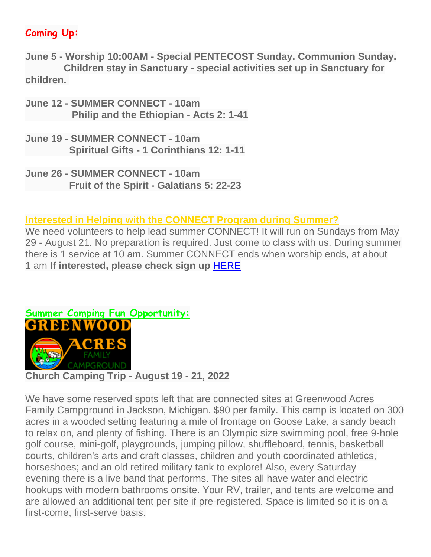## **Coming Up:**

**June 5 - Worship 10:00AM - Special PENTECOST Sunday. Communion Sunday. Children stay in Sanctuary - special activities set up in Sanctuary for children.**

- **June 12 - SUMMER CONNECT - 10am Philip and the Ethiopian - Acts 2: 1-41**
- **June 19 - SUMMER CONNECT - 10am Spiritual Gifts - 1 Corinthians 12: 1-11**
- **June 26 - SUMMER CONNECT - 10am Fruit of the Spirit - Galatians 5: 22-23**

## **Interested in Helping with the CONNECT Program during Summer?**

We need volunteers to help lead summer CONNECT! It will run on Sundays from May 29 - August 21. No preparation is required. Just come to class with us. During summer there is 1 service at 10 am. Summer CONNECT ends when worship ends, at about 1 am **If interested, please check sign up** [HERE](https://chelseaumc.us14.list-manage.com/track/click?u=37c8191c70ab0cf4086c379d3&id=bc84dee3e8&e=37f2bbef4d)



**Church Camping Trip - August 19 - 21, 2022**

We have some reserved spots left that are connected sites at Greenwood Acres Family Campground in Jackson, Michigan. \$90 per family. This camp is located on 300 acres in a wooded setting featuring a mile of frontage on Goose Lake, a sandy beach to relax on, and plenty of fishing. There is an Olympic size swimming pool, free 9-hole golf course, mini-golf, playgrounds, jumping pillow, shuffleboard, tennis, basketball courts, children's arts and craft classes, children and youth coordinated athletics, horseshoes; and an old retired military tank to explore! Also, every Saturday evening there is a live band that performs. The sites all have water and electric hookups with modern bathrooms onsite. Your RV, trailer, and tents are welcome and are allowed an additional tent per site if pre-registered. Space is limited so it is on a first-come, first-serve basis.